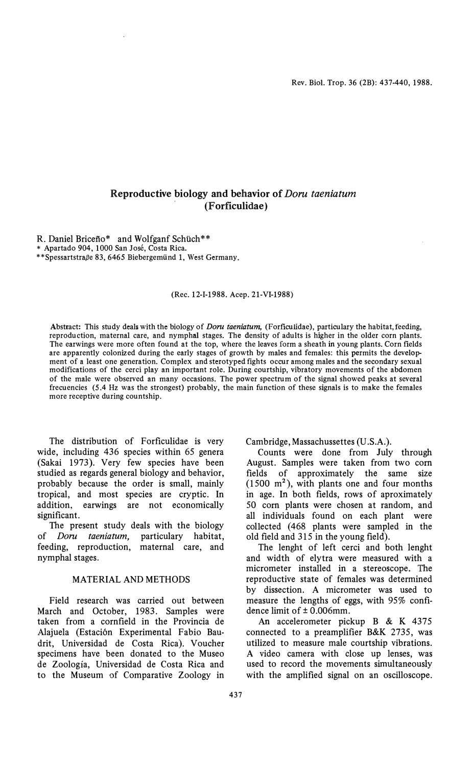# Reproductive biology and behavior of Doru taeniatum . (Forficulidae)

R. Daniel Bricefio\* and Wolfganf Schüch\*\* \* Apartado 904, 1000 San José, Costa Rica. \*\*Spessartstraße 83, 6465 Biebergemünd 1, West Germany.

#### (Rec. 12-I-1988. Acep. 21-VI-1988)

Abstract: This study deals with the biology of *Doru taeniatum*, (Forficulidae), particulary the habitat, feeding, reproduetion, maternal care, and nympha1 stages. The density of adults is higher in the older corn plants. The earwings were more often found at the top, where the leaves form a sheath in young plants. Corn fields are apparently eolonized during the early stages of growth by males and females: this permits the development of a least one generation. Complex and sterotyped fights oecur among males and the secondary sexual modifications of the eerci play an important role. During eourtship, vibratory movements of the abdomen of the male were observed an many occasions. The power spectrum of the signal showed peaks at several frecuencies (5.4 Hz was the strongest) probably, the main function of these signals is to make the females more reeeptive during eountship.

The distribution of Forficulidae is very wide, including 436 species within 65 genera (Sakai 1973). Very few species have been studied as regards general biology and behavior, probably because the order is small, mainly tropical, and most species are cryptic. In addition, earwings are not economically significant.

The present study deals with the biology of *Doru taeniatum*, particulary habitat, feeding, reproduction, maternal care, and nymphal stages.

#### MATERIAL AND METHODS

Field research was carried out between March and October, 1983. Samples were taken from a cornfield in the Provincia de Alajuela (Estación Experimental Fabio Baudrit, Universidad de Costa Rica). Voucher specimens have been donated to the Museo de Zoología, Universidad de Costa Rica and to the Museum of Comparative Zoology in

Cambridge, Massachussettes (U.S.A.).

Counts were done from JuIy through August. Samples were taken from two corn fields of approximately the same size  $(1500 \text{ m}^2)$ , with plants one and four months in age. In both fields, rows of aproximately 50 corn plants were chosen at random, and all individuals found on each plant were col1ected (468 plants were sampled in the old field and 315 in the young field).

The lenght of left cerci and both lenght and width of elytra were measured with a micrometer installed in a stereoscope. The reproductive state of females was determined by dissection. A rnicrometer was used to measure the lengths of eggs, with 95% confidence limit of ± 0.006mm.

An accelerometer pickup B & K 4375 connected to a preamplifier B&K 2735, was utilized to measure male courtship vibrations. A video camera with close up lenses, was used to record the movements simultaneously with the amplified signal on an oscilloscope.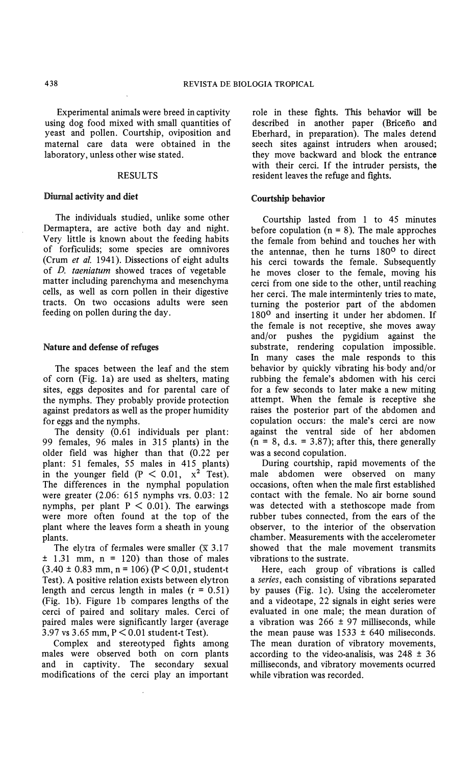Experimental animals were breed in captivity using dog food mixed with small quantities of yeast and pollen. Courtship, oviposition and maternal care data were obtained in the laboratory, unless other wise stated.

#### RESULTS

## Diurnal activity and diet

The individuals studied, unlike some other Dermaptera, are active both day and night. Very Httle is known about the feeding habits of forficulids; some species are omnivores (Crum et al. 1941). Dissections of eight adults of D. taeniatum showed traces of vegetable matter including parenchyma and mesenchyma cells, as well as corn pollen in their digestive tracts. On two occasions adults were seen feeding on pollen during the day.

# Nature and defense of refuges

The spaces between the leaf and the stem of corn (Fig. la) are used as shelters, mating sites, eggs deposites and for parental care of the nymphs. They probably provide protection against predators as well as the proper humidity for eggs and the nymphs.

The density (0.61 individuals per plant: 99 females, 96 males in 315 plants) in the older field was higher than that (0.22 per plant: 51 females, 55 males in 415 plants) in the younger field  $(P < 0.01, x^2$  Test). The differences in the nympha1 population were greater (2.06: 615 nymphs vrs. 0.03: 12 nymphs, per plant  $P < 0.01$ ). The earwings were more often found at the tóp of the plant where the leaves form a sheath in young plants.

The elytra of fermales were smaller ( $\overline{x}$  3.17  $\pm$  1.31 mm, n = 120) than those of males  $(3.40 \pm 0.83 \text{ mm}, n = 106)$  (P < 0,01, student-t Test). A positive relation exists between elytron length and cercus length in males  $(r = 0.51)$ (Fig. 1b). Figure 1b compares lengths of the cerci of paired and solitary males. Cerci of paired males were significantly larger (average 3.97 vs 3.65 mm, P < 0.01 student-t Test).

Complex and stereotyped fights among males were observed both on corn plants and in captivity. The secondary sexual modifications of the cerci play an important role in these fights. This behavior will be described in another paper (Bricefio and Eberhard, in preparation). The males detend seech sites against intruders when aroused; they move backward and block the entrance with their cerci. If the intruder persists, the resident leaves the refuge and fights.

## Courtship behavior

Courtship lasted from 1 to 45 minutes before copulation  $(n = 8)$ . The male approches the female from behind and touches her with the antennae, then he turns 180<sup>0</sup> to direct his cerci towards the female. Subsequently he moves closer to the female, moving his cerci from one side to the other, until reaching her cerci. The male intermintenly tries to mate, tuming the posterior part of the abdomen 180<sup>0</sup> and inserting it under her abdomen. If the female is not receptive, she moves away and/or pushes the pygidium against the substrate, rendering copulation impossible. In many cases the male responds to this behavior by quickly vibrating. his· body and/or rubbing the female's abdomen with his cerci for a few seconds to later make a new miting attempt. When the female is receptive she raises the posterior part of the abdomen and copulation occurs: the male's cerci are now against the ventral side of her abdomen  $(n = 8, d.s. = 3.87)$ ; after this, there generally was a second copulation.

During courtship, rapid movements of the male abdomen were observed on many occasions, often when the male first established contact with the female. No air borne sound was detected with a stethoscope made from rubber tubes connected, from the ears of the observer, to the interior of the observation chamber. Measurements with the accelerometer showed that the male movement transmits vibrations to the sustrate.

Here, each group of vibrations is called a series, each consisting of vibrations separated by pauses (Fig. 1c). Using the accelerometer and a videotape, 22 signals in eight series were evaluated in one male; the mean duration of a vibration was  $266 \pm 97$  milliseconds, while the mean pause was  $1533 \pm 640$  miliseconds. The mean duration of vibratory movements, according to the video-analisis, was  $248 \pm 36$ milliseconds, and vibratory movements ocurred while vibration was recorded.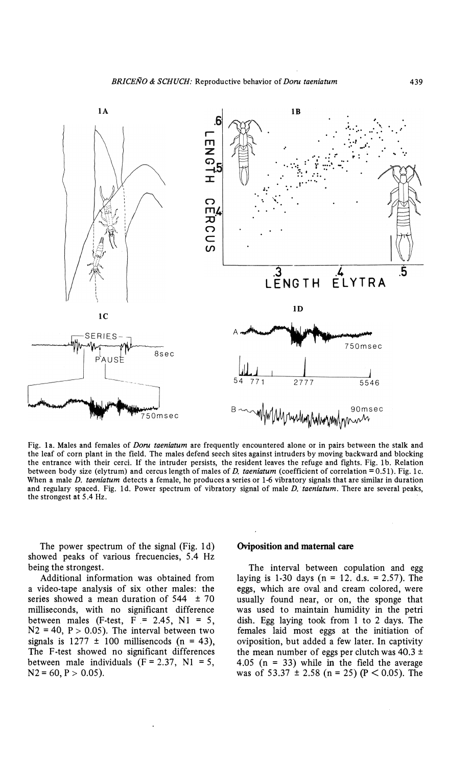

Fig. 1a. Males and females of Doru taeniatum are frequently encountered alone or in pairs between the stalk and the leaf of corn plant in the field. The males defend seech sites against intruders by moving backward and blocking the entrance with their cerci. If the intruder persists, the resident leaves the refuge and fights. Fig. 1b. Relation between body size (elytrum) and cercus length of males of D. taeniatum (coefficient of correlation  $= 0.51$ ). Fig. 1c. When a male D. taeniatum detects a female, he produces a series or 1-6 vibratory signals that are similar in duration and regulary spaced. Fig. 1d. Power spectrum of vibratory signal of male D. taeniatum. There are several peaks, the strongest at 5.4 Hz.

The power spectrum of the signal (Fig. 1d) showed peaks of various frecuencies, 5.4 Hz being the strongest.

Additional information was obtained from a video-tape analysis of six other males: the series showed a mean duration of  $544 \pm 70$ milliseconds, with no significant difference between males (F-test,  $F = 2.45$ , N1 = 5,  $N2 = 40$ ,  $P > 0.05$ ). The interval between two signals is  $1277 \pm 100$  millisencods (n = 43), The F-test showed no significant differences between male individuals  $(F = 2.37, N1 = 5,$  $N2 = 60$ ,  $P > 0.05$ ).

## Oviposition and maternal care

The interval between copulation and egg laving is 1-30 days ( $n = 12$ , d.s. = 2.57). The eggs, which are oval and cream colored, were usually found near, or on, the sponge that was used to maintain humidity in the petri dish. Egg laying took from 1 to 2 days. The females laid most eggs at the initiation of oviposition, but added a few later. In captivity the mean number of eggs per clutch was  $40.3 \pm$ 4.05 ( $n = 33$ ) while in the field the average was of 53.37  $\pm$  2.58 (n = 25) (P < 0.05). The